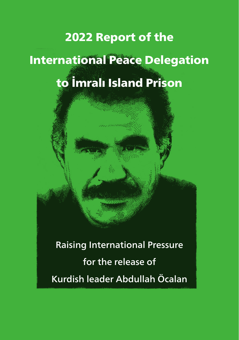# <span id="page-0-0"></span>2022 Report of the International Peace Delegation to İmralı Island Prison

Raising International Pressure for the release of Kurdish leader Abdullah Öcalan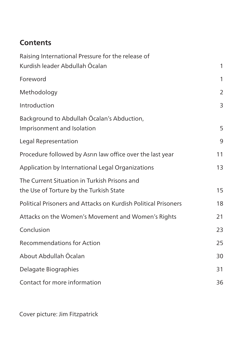# **Contents**

| Raising International Pressure for the release of                                       |                |
|-----------------------------------------------------------------------------------------|----------------|
| Kurdish leader Abdullah Öcalan                                                          | 1              |
| Foreword                                                                                | 1              |
| Methodology                                                                             | $\overline{2}$ |
| Introduction                                                                            | 3              |
| Background to Abdullah Öcalan's Abduction,<br>Imprisonment and Isolation                | 5              |
| Legal Representation                                                                    | 9              |
| Procedure followed by Asrin law office over the last year                               | 11             |
| Application by International Legal Organizations                                        | 13             |
| The Current Situation in Turkish Prisons and<br>the Use of Torture by the Turkish State | 15             |
| Political Prisoners and Attacks on Kurdish Political Prisoners                          | 18             |
| Attacks on the Women's Movement and Women's Rights                                      | 21             |
| Conclusion                                                                              | 23             |
| <b>Recommendations for Action</b>                                                       | 25             |
| About Abdullah Öcalan                                                                   | 30             |
| Delagate Biographies                                                                    | 31             |
| Contact for more information                                                            | 36             |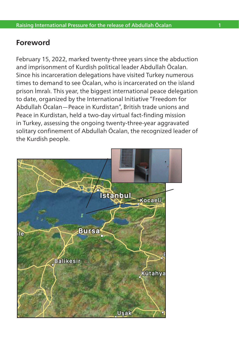## <span id="page-2-0"></span>**Foreword**

February 15, 2022, marked twenty-three years since the abduction and imprisonment of Kurdish political leader Abdullah Öcalan. Since his incarceration delegations have visited Turkey numerous times to demand to see Öcalan, who is incarcerated on the island prison İmralı. This year, the biggest international peace delegation to date, organized by the International Initiative "Freedom for Abdullah Öcalan—Peace in Kurdistan", British trade unions and Peace in Kurdistan, held a two-day virtual fact-finding mission in Turkey, assessing the ongoing twenty-three-year aggravated solitary confinement of Abdullah Öcalan, the recognized leader of the Kurdish people.

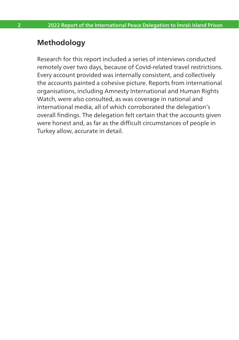## <span id="page-3-0"></span>**Methodology**

Research for this report included a series of interviews conducted remotely over two days, because of Covid-related travel restrictions. Every account provided was internally consistent, and collectively the accounts painted a cohesive picture. Reports from international organisations, including Amnesty International and Human Rights Watch, were also consulted, as was coverage in national and international media, all of which corroborated the delegation's overall findings. The delegation felt certain that the accounts given were honest and, as far as the difficult circumstances of people in Turkey allow, accurate in detail.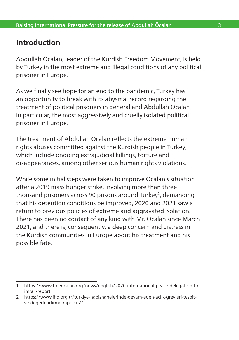## <span id="page-4-0"></span>**Introduction**

Abdullah Öcalan, leader of the Kurdish Freedom Movement, is held by Turkey in the most extreme and illegal conditions of any political prisoner in Europe.

As we finally see hope for an end to the pandemic, Turkey has an opportunity to break with its abysmal record regarding the treatment of political prisoners in general and Abdullah Öcalan in particular, the most aggressively and cruelly isolated political prisoner in Europe.

The treatment of Abdullah Öcalan reflects the extreme human rights abuses committed against the Kurdish people in Turkey, which include ongoing extrajudicial killings, torture and disappearances, among other serious human rights violations.<sup>1</sup>

While some initial steps were taken to improve Öcalan's situation after a 2019 mass hunger strike, involving more than three thousand prisoners across 90 prisons around Turkey<sup>2</sup>, demanding that his detention conditions be improved, 2020 and 2021 saw a return to previous policies of extreme and aggravated isolation. There has been no contact of any kind with Mr. Öcalan since March 2021, and there is, consequently, a deep concern and distress in the Kurdish communities in Europe about his treatment and his possible fate.

<sup>1</sup> [https://www.freeocalan.org/news/english/2020-international-peace-delegation-to](https://www.freeocalan.org/news/english/2020-international-peace-delegation-to-imrali-report)[imrali-report](https://www.freeocalan.org/news/english/2020-international-peace-delegation-to-imrali-report)

<sup>2</sup> https://www.ihd.org.tr/turkiye-hapishanelerinde-devam-eden-aclik-grevleri-tespitve-degerlendirme-raporu-2/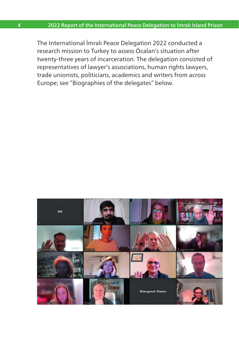The International İmralı Peace Delegation 2022 conducted a research mission to Turkey to assess Öcalan's situation after twenty-three years of incarceration. The delegation consisted of representatives of lawyer's associations, human rights lawyers, trade unionists, politicians, academics and writers from across Europe; see "Biographies of the delegates" below.

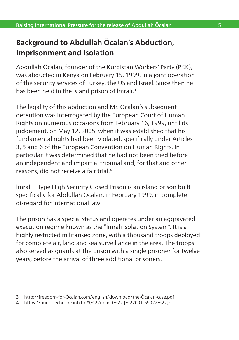# <span id="page-6-0"></span>**Background to Abdullah Öcalan's Abduction, Imprisonment and Isolation**

Abdullah Öcalan, founder of the Kurdistan Workers' Party (PKK), was abducted in Kenya on February 15, 1999, in a joint operation of the security services of Turkey, the US and Israel. Since then he has been held in the island prison of İmralı.<sup>3</sup>

The legality of this abduction and Mr. Öcalan's subsequent detention was interrogated by the European Court of Human Rights on numerous occasions from February 16, 1999, until its judgement, on May 12, 2005, when it was established that his fundamental rights had been violated, specifically under Articles 3, 5 and 6 of the European Convention on Human Rights. In particular it was determined that he had not been tried before an independent and impartial tribunal and, for that and other reasons, did not receive a fair trial.4

İmralı F Type High Security Closed Prison is an island prison built specifically for Abdullah Öcalan, in February 1999, in complete disregard for international law.

The prison has a special status and operates under an aggravated execution regime known as the "İmralı Isolation System". It is a highly restricted militarised zone, with a thousand troops deployed for complete air, land and sea surveillance in the area. The troops also served as guards at the prison with a single prisoner for twelve years, before the arrival of three additional prisoners.

<sup>3</sup> [http://freedom-for-Öcalan.com/english/download/the-Öcalan-case.pdf](http://freedom-for-ocalan.com/english/download/the-ocalan-case.pdf)

<sup>4</sup> https://hudoc.echr.coe.int/fre#{%22itemid%22:[%22001-69022%22]}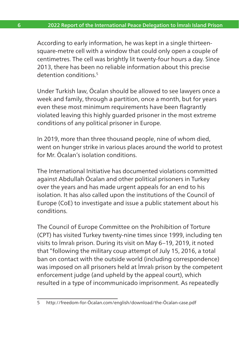According to early information, he was kept in a single thirteensquare-metre cell with a window that could only open a couple of centimetres. The cell was brightly lit twenty-four hours a day. Since 2013, there has been no reliable information about this precise detention conditions<sup>5</sup>

Under Turkish law, Öcalan should be allowed to see lawyers once a week and family, through a partition, once a month, but for years even these most minimum requirements have been flagrantly violated leaving this highly guarded prisoner in the most extreme conditions of any political prisoner in Europe.

In 2019, more than three thousand people, nine of whom died, went on hunger strike in various places around the world to protest for Mr. Öcalan's isolation conditions.

The International Initiative has documented violations committed against Abdullah Öcalan and other political prisoners in Turkey over the years and has made urgent appeals for an end to his isolation. It has also called upon the institutions of the Council of Europe (CoE) to investigate and issue a public statement about his conditions.

The Council of Europe Committee on the Prohibition of Torture (CPT) has visited Turkey twenty-nine times since 1999, including ten visits to İmralı prison. During its visit on May 6–19, 2019, it noted that "following the military coup attempt of July 15, 2016, a total ban on contact with the outside world (including correspondence) was imposed on all prisoners held at İmralı prison by the competent enforcement judge (and upheld by the appeal court), which resulted in a type of incommunicado imprisonment. As repeatedly

<sup>5</sup> [http://freedom-for-Öcalan.com/english/download/the-Öcalan-case.pdf](http://freedom-for-ocalan.com/english/download/the-ocalan-case.pdf)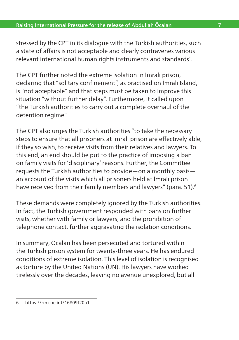stressed by the CPT in its dialogue with the Turkish authorities, such a state of affairs is not acceptable and clearly contravenes various relevant international human rights instruments and standards".

The CPT further noted the extreme isolation in İmralı prison, declaring that "solitary confinement", as practised on İmralı Island, is "not acceptable" and that steps must be taken to improve this situation "without further delay". Furthermore, it called upon "the Turkish authorities to carry out a complete overhaul of the detention regime".

The CPT also urges the Turkish authorities "to take the necessary steps to ensure that all prisoners at İmralı prison are effectively able, if they so wish, to receive visits from their relatives and lawyers. To this end, an end should be put to the practice of imposing a ban on family visits for 'disciplinary' reasons. Further, the Committee requests the Turkish authorities to provide—on a monthly basis an account of the visits which all prisoners held at İmralı prison have received from their family members and lawyers" (para. 51).<sup>6</sup>

These demands were completely ignored by the Turkish authorities. In fact, the Turkish government responded with bans on further visits, whether with family or lawyers, and the prohibition of telephone contact, further aggravating the isolation conditions.

In summary, Öcalan has been persecuted and tortured within the Turkish prison system for twenty-three years. He has endured conditions of extreme isolation. This level of isolation is recognised as torture by the United Nations (UN). His lawyers have worked tirelessly over the decades, leaving no avenue unexplored, but all

<sup>6</sup> <https://rm.coe.int/16809f20a1>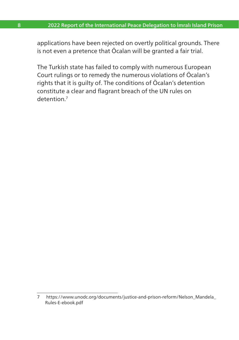applications have been rejected on overtly political grounds. There is not even a pretence that Öcalan will be granted a fair trial.

The Turkish state has failed to comply with numerous European Court rulings or to remedy the numerous violations of Öcalan's rights that it is guilty of. The conditions of Öcalan's detention constitute a clear and flagrant breach of the UN rules on detention<sup>7</sup>

<sup>7</sup> [https://www.unodc.org/documents/justice-and-prison-reform/Nelson\\_Mandela\\_](https://www.unodc.org/documents/justice-and-prison-reform/Nelson_Mandela_Rules-E-ebook.pdf) [Rules-E-ebook.pdf](https://www.unodc.org/documents/justice-and-prison-reform/Nelson_Mandela_Rules-E-ebook.pdf)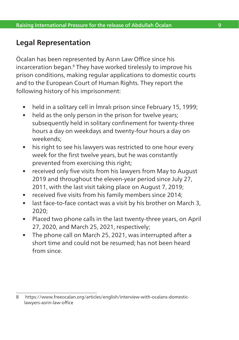## <span id="page-10-0"></span>**Legal Representation**

Öcalan has been represented by Asrın Law Office since his incarceration began.8 They have worked tirelessly to improve his prison conditions, making regular applications to domestic courts and to the European Court of Human Rights. They report the following history of his imprisonment:

- held in a solitary cell in İmralı prison since February 15, 1999;
- held as the only person in the prison for twelve years; subsequently held in solitary confinement for twenty-three hours a day on weekdays and twenty-four hours a day on weekends;
- his right to see his lawyers was restricted to one hour every week for the first twelve years, but he was constantly prevented from exercising this right;
- received only five visits from his lawyers from May to August 2019 and throughout the eleven-year period since July 27, 2011, with the last visit taking place on August 7, 2019;
- received five visits from his family members since 2014;
- last face-to-face contact was a visit by his brother on March 3, 2020;
- Placed two phone calls in the last twenty-three years, on April 27, 2020, and March 25, 2021, respectively;
- The phone call on March 25, 2021, was interrupted after a short time and could not be resumed; has not been heard from since.

<sup>8</sup> [https://www.freeocalan.org/articles/english/interview-with-ocalans-domestic](https://www.freeocalan.org/articles/english/interview-with-ocalans-domestic-lawyers-asrin-law-office)[lawyers-asrin-law-office](https://www.freeocalan.org/articles/english/interview-with-ocalans-domestic-lawyers-asrin-law-office)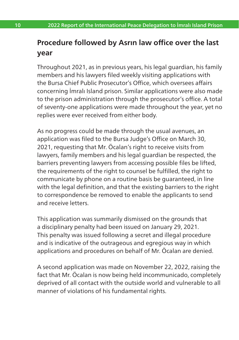# **Procedure followed by Asrın law office over the last year**

Throughout 2021, as in previous years, his legal guardian, his family members and his lawyers filed weekly visiting applications with the Bursa Chief Public Prosecutor's Office, which oversees affairs concerning İmralı Island prison. Similar applications were also made to the prison administration through the prosecutor's office. A total of seventy-one applications were made throughout the year, yet no replies were ever received from either body.

As no progress could be made through the usual avenues, an application was filed to the Bursa Judge's Office on March 30, 2021, requesting that Mr. Öcalan's right to receive visits from lawyers, family members and his legal guardian be respected, the barriers preventing lawyers from accessing possible files be lifted, the requirements of the right to counsel be fulfilled, the right to communicate by phone on a routine basis be guaranteed, in line with the legal definition, and that the existing barriers to the right to correspondence be removed to enable the applicants to send and receive letters.

This application was summarily dismissed on the grounds that a disciplinary penalty had been issued on January 29, 2021. This penalty was issued following a secret and illegal procedure and is indicative of the outrageous and egregious way in which applications and procedures on behalf of Mr. Öcalan are denied.

A second application was made on November 22, 2022, raising the fact that Mr. Öcalan is now being held incommunicado, completely deprived of all contact with the outside world and vulnerable to all manner of violations of his fundamental rights.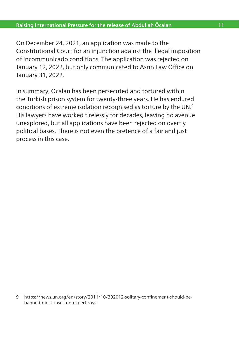<span id="page-12-0"></span>On December 24, 2021, an application was made to the Constitutional Court for an injunction against the illegal imposition of incommunicado conditions. The application was rejected on January 12, 2022, but only communicated to Asrın Law Office on January 31, 2022.

In summary, Öcalan has been persecuted and tortured within the Turkish prison system for twenty-three years. He has endured conditions of extreme isolation recognised as torture by the UN.9 His lawyers have worked tirelessly for decades, leaving no avenue unexplored, but all applications have been rejected on overtly political bases. There is not even the pretence of a fair and just process in this case.

<sup>9</sup> [https://news.un.org/en/story/2011/10/392012-solitary-confinement-should-be](https://news.un.org/en/story/2011/10/392012-solitary-confinement-should-be-banned-most-cases-un-expert-says)[banned-most-cases-un-expert-says](https://news.un.org/en/story/2011/10/392012-solitary-confinement-should-be-banned-most-cases-un-expert-says)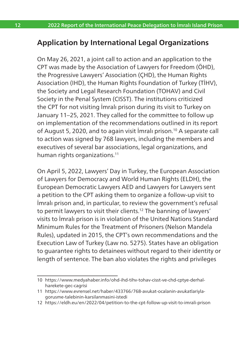## **Application by International Legal Organizations**

On May 26, 2021, a joint call to action and an application to the CPT was made by the Association of Lawyers for Freedom (ÖHD), the Progressive Lawyers' Association (ÇHD), the Human Rights Association (IHD), the Human Rights Foundation of Turkey (TİHV), the Society and Legal Research Foundation (TOHAV) and Civil Society in the Penal System (CISST). The institutions criticized the CPT for not visiting İmralı prison during its visit to Turkey on January 11–25, 2021. They called for the committee to follow up on implementation of the recommendations outlined in its report of August 5, 2020, and to again visit İmralı prison.10 A separate call to action was signed by 768 lawyers, including the members and executives of several bar associations, legal organizations, and human rights organizations.<sup>11</sup>

On April 5, 2022, Lawyers' Day in Turkey, the European Association of Lawyers for Democracy and World Human Rights (ELDH), the European Democratic Lawyers AED and Lawyers for Lawyers sent a petition to the CPT asking them to organize a follow-up visit to İmralı prison and, in particular, to review the government's refusal to permit lawyers to visit their clients.12 The banning of lawyers' visits to İmralı prison is in violation of the United Nations Standard Minimum Rules for the Treatment of Prisoners (Nelson Mandela Rules), updated in 2015, the CPT's own recommendations and the Execution Law of Turkey (Law no. 5275). States have an obligation to guarantee rights to detainees without regard to their identity or length of sentence. The ban also violates the rights and privileges

12 [https://eldh.eu/en/2022/04/petition-to-the-cpt-follow-up-visit-to-imrali-prison](https://eldh.eu/en/2022/04/petition-to-the-cpt-follow-up-visit-to-imrali-prison/)

<sup>10</sup> [https://www.medyahaber.info/ohd-ihd-tihv-tohav-cisst-ve-chd-cptye-derhal](https://www.medyahaber.info/ohd-ihd-tihv-tohav-cisst-ve-chd-cptye-derhal-harekete-gec-cagrisi)[harekete-gec-cagrisi](https://www.medyahaber.info/ohd-ihd-tihv-tohav-cisst-ve-chd-cptye-derhal-harekete-gec-cagrisi)

<sup>11</sup> [https://www.evrensel.net/haber/433766/768-avukat-ocalanin-avukatlariyla](https://www.evrensel.net/haber/433766/768-avukat-ocalanin-avukatlariyla-gorusme-talebinin-karsilanmasini-istedi)[gorusme-talebinin-karsilanmasini-istedi](https://www.evrensel.net/haber/433766/768-avukat-ocalanin-avukatlariyla-gorusme-talebinin-karsilanmasini-istedi)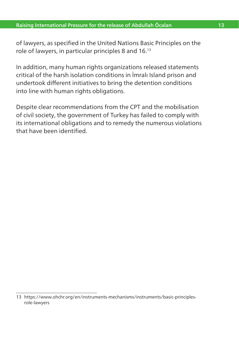#### <span id="page-14-0"></span>Raising International Pressure for the release of Abdullah Öcalan 13

of lawyers, as specified in the United Nations Basic Principles on the role of lawyers, in particular principles 8 and 16.13

In addition, many human rights organizations released statements critical of the harsh isolation conditions in İmralı Island prison and undertook different initiatives to bring the detention conditions into line with human rights obligations.

Despite clear recommendations from the CPT and the mobilisation of civil society, the government of Turkey has failed to comply with its international obligations and to remedy the numerous violations that have been identified.

<sup>13</sup> [https://www.ohchr.org/en/instruments-mechanisms/instruments/basic-principles](https://www.ohchr.org/en/instruments-mechanisms/instruments/basic-principles-role-lawyers)[role-lawyers](https://www.ohchr.org/en/instruments-mechanisms/instruments/basic-principles-role-lawyers)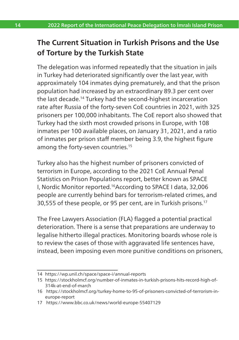# **The Current Situation in Turkish Prisons and the Use of Torture by the Turkish State**

The delegation was informed repeatedly that the situation in jails in Turkey had deteriorated significantly over the last year, with approximately 104 inmates dying prematurely, and that the prison population had increased by an extraordinary 89.3 per cent over the last decade.14 Turkey had the second-highest incarceration rate after Russia of the forty-seven CoE countries in 2021, with 325 prisoners per 100,000 inhabitants. The CoE report also showed that Turkey had the sixth most crowded prisons in Europe, with 108 inmates per 100 available places, on January 31, 2021, and a ratio of inmates per prison staff member being 3.9, the highest figure among the forty-seven countries.<sup>15</sup>

Turkey also has the highest number of prisoners convicted of terrorism in Europe, according to the 2021 CoE Annual Penal Statistics on Prison Populations report, better known as SPACE I, Nordic Monitor reported.16According to SPACE I data, 32,006 people are currently behind bars for terrorism-related crimes, and 30,555 of these people, or 95 per cent, are in Turkish prisons.17

The Free Lawyers Association (FLA) flagged a potential practical deterioration. There is a sense that preparations are underway to legalise hitherto illegal practices. Monitoring boards whose role is to review the cases of those with aggravated life sentences have, instead, been imposing even more punitive conditions on prisoners,

<sup>14</sup> [https://wp.unil.ch/space/space-i/annual-reports](https://wp.unil.ch/space/space-i/annual-reports/)

<sup>15</sup> [https://stockholmcf.org/number-of-inmates-in-turkish-prisons-hits-record-high-of-](https://stockholmcf.org/number-of-inmates-in-turkish-prisons-hits-record-high-of-314k-at-end-of-march/)[314k-at-end-of-march](https://stockholmcf.org/number-of-inmates-in-turkish-prisons-hits-record-high-of-314k-at-end-of-march/)

<sup>16</sup> [https://stockholmcf.org/turkey-home-to-95-of-prisoners-convicted-of-terrorism-in](https://stockholmcf.org/turkey-home-to-95-of-prisoners-convicted-of-terrorism-in-europe-report/)[europe-report](https://stockholmcf.org/turkey-home-to-95-of-prisoners-convicted-of-terrorism-in-europe-report/)

<sup>17</sup> <https://www.bbc.co.uk/news/world-europe-55407129>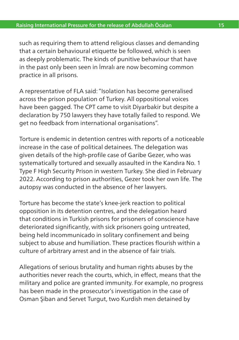<span id="page-16-0"></span>such as requiring them to attend religious classes and demanding that a certain behavioural etiquette be followed, which is seen as deeply problematic. The kinds of punitive behaviour that have in the past only been seen in İmralı are now becoming common practice in all prisons.

A representative of FLA said: "Isolation has become generalised across the prison population of Turkey. All oppositional voices have been gagged. The CPT came to visit Diyarbakir but despite a declaration by 750 lawyers they have totally failed to respond. We get no feedback from international organisations".

Torture is endemic in detention centres with reports of a noticeable increase in the case of political detainees. The delegation was given details of the high-profile case of Garibe Gezer, who was systematically tortured and sexually assaulted in the Kandıra No. 1 Type F High Security Prison in western Turkey. She died in February 2022. According to prison authorities, Gezer took her own life. The autopsy was conducted in the absence of her lawyers.

Torture has become the state's knee-jerk reaction to political opposition in its detention centres, and the delegation heard that conditions in Turkish prisons for prisoners of conscience have deteriorated significantly, with sick prisoners going untreated, being held incommunicado in solitary confinement and being subject to abuse and humiliation. These practices flourish within a culture of arbitrary arrest and in the absence of fair trials.

Allegations of serious brutality and human rights abuses by the authorities never reach the courts, which, in effect, means that the military and police are granted immunity. For example, no progress has been made in the prosecutor's investigation in the case of Osman Şiban and Servet Turgut, two Kurdish men detained by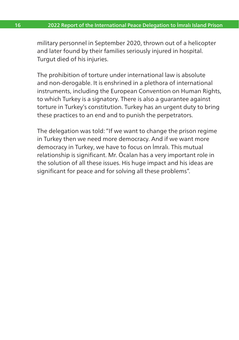military personnel in September 2020, thrown out of a helicopter and later found by their families seriously injured in hospital. Turgut died of his injuries.

The prohibition of torture under international law is absolute and non-derogable. It is enshrined in a plethora of international instruments, including the European Convention on Human Rights, to which Turkey is a signatory. There is also a guarantee against torture in Turkey's constitution. Turkey has an urgent duty to bring these practices to an end and to punish the perpetrators.

The delegation was told: "If we want to change the prison regime in Turkey then we need more democracy. And if we want more democracy in Turkey, we have to focus on İmralı. This mutual relationship is significant. Mr. Öcalan has a very important role in the solution of all these issues. His huge impact and his ideas are significant for peace and for solving all these problems".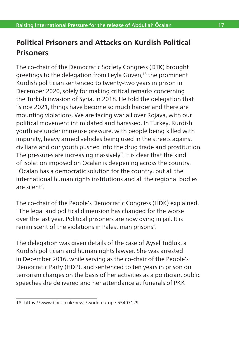# **Political Prisoners and Attacks on Kurdish Political Prisoners**

The co-chair of the Democratic Society Congress (DTK) brought greetings to the delegation from Leyla Güven,<sup>18</sup> the prominent Kurdish politician sentenced to twenty-two years in prison in December 2020, solely for making critical remarks concerning the Turkish invasion of Syria, in 2018. He told the delegation that "since 2021, things have become so much harder and there are mounting violations. We are facing war all over Rojava, with our political movement intimidated and harassed. In Turkey, Kurdish youth are under immense pressure, with people being killed with impunity, heavy armed vehicles being used in the streets against civilians and our youth pushed into the drug trade and prostitution. The pressures are increasing massively". It is clear that the kind of isolation imposed on Öcalan is deepening across the country. "Öcalan has a democratic solution for the country, but all the international human rights institutions and all the regional bodies are silent".

The co-chair of the People's Democratic Congress (HDK) explained, "The legal and political dimension has changed for the worse over the last year. Political prisoners are now dying in jail. It is reminiscent of the violations in Palestinian prisons".

The delegation was given details of the case of Aysel Tuğluk, a Kurdish politician and human rights lawyer. She was arrested in December 2016, while serving as the co-chair of the People's Democratic Party (HDP), and sentenced to ten years in prison on terrorism charges on the basis of her activities as a politician, public speeches she delivered and her attendance at funerals of PKK

<sup>18</sup> <https://www.bbc.co.uk/news/world-europe-55407129>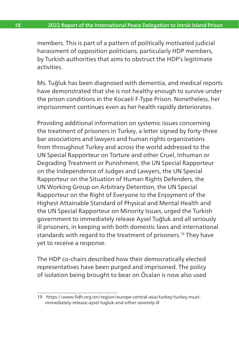<span id="page-19-0"></span>members. This is part of a pattern of politically motivated judicial harassment of opposition politicians, particularly HDP members, by Turkish authorities that aims to obstruct the HDP's legitimate activities.

Ms. Tuğluk has been diagnosed with dementia, and medical reports have demonstrated that she is not healthy enough to survive under the prison conditions in the Kocaeli F-Type Prison. Nonetheless, her imprisonment continues even as her health rapidly deteriorates.

Providing additional information on systemic issues concerning the treatment of prisoners in Turkey, a letter signed by forty-three bar associations and lawyers and human rights organizations from throughout Turkey and across the world addressed to the UN Special Rapporteur on Torture and other Cruel, Inhuman or Degrading Treatment or Punishment, the UN Special Rapporteur on the Independence of Judges and Lawyers, the UN Special Rapporteur on the Situation of Human Rights Defenders, the UN Working Group on Arbitrary Detention, the UN Special Rapporteur on the Right of Everyone to the Enjoyment of the Highest Attainable Standard of Physical and Mental Health and the UN Special Rapporteur on Minority Issues, urged the Turkish government to immediately release Aysel Tuğluk and all seriously ill prisoners, in keeping with both domestic laws and international standards with regard to the treatment of prisoners.<sup>19</sup> They have yet to receive a response.

The HDP co-chairs described how their democratically elected representatives have been purged and imprisoned. The policy of isolation being brought to bear on Öcalan is now also used

<sup>19</sup> [https://www.fidh.org/en/region/europe-central-asia/turkey/turkey-must](https://www.fidh.org/en/region/europe-central-asia/turkey/turkey-must-immediately-release-aysel-tugluk-and-other-severely-ill)[immediately-release-aysel-tugluk-and-other-severely-ill](https://www.fidh.org/en/region/europe-central-asia/turkey/turkey-must-immediately-release-aysel-tugluk-and-other-severely-ill)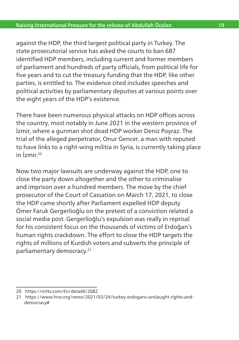against the HDP, the third largest political party in Turkey. The state prosecutorial service has asked the courts to ban 687 identified HDP members, including current and former members of parliament and hundreds of party officials, from political life for five years and to cut the treasury funding that the HDP, like other parties, is entitled to. The evidence cited includes speeches and political activities by parliamentary deputies at various points over the eight years of the HDP's existence.

There have been numerous physical attacks on HDP offices across the country, most notably in June 2021 in the western province of İzmir, where a gunman shot dead HDP worker Deniz Poyraz. The trial of the alleged perpetrator, Onur Gencer, a man with reputed to have links to a right-wing militia in Syria, is currently taking place in İzmir<sup>20</sup>

Now two major lawsuits are underway against the HDP, one to close the party down altogether and the other to criminalise and imprison over a hundred members. The move by the chief prosecutor of the Court of Cassation on March 17, 2021, to close the HDP came shortly after Parliament expelled HDP deputy Ömer Faruk Gergerlioğlu on the pretext of a conviction related a social media post. Gergerlioğlu's expulsion was really in reprisal for his consistent focus on the thousands of victims of Erdoğan's human rights crackdown. The effort to close the HDP targets the rights of millions of Kurdish voters and subverts the principle of parliamentary democracy.21

<sup>20</sup> <https://nrttv.com/En/detail6/2082>

<sup>21</sup> [https://www.hrw.org/news/2021/03/24/turkey-erdogans-onslaught-rights-and](https://www.hrw.org/news/2021/03/24/turkey-erdogans-onslaught-rights-and-democracy)[democracy#](https://www.hrw.org/news/2021/03/24/turkey-erdogans-onslaught-rights-and-democracy)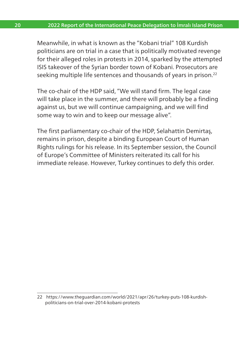Meanwhile, in what is known as the "Kobani trial" 108 Kurdish politicians are on trial in a case that is politically motivated revenge for their alleged roles in protests in 2014, sparked by the attempted ISIS takeover of the Syrian border town of Kobani. Prosecutors are seeking multiple life sentences and thousands of years in prison.<sup>22</sup>

The co-chair of the HDP said, "We will stand firm. The legal case will take place in the summer, and there will probably be a finding against us, but we will continue campaigning, and we will find some way to win and to keep our message alive".

The first parliamentary co-chair of the HDP, Selahattin Demirtaş, remains in prison, despite a binding European Court of Human Rights rulings for his release. In its September session, the Council of Europe's Committee of Ministers reiterated its call for his immediate release. However, Turkey continues to defy this order.

<sup>22</sup> [https://www.theguardian.com/world/2021/apr/26/turkey-puts-108-kurdish](https://www.theguardian.com/world/2021/apr/26/turkey-puts-108-kurdish-politicians-on-trial-over-2014-kobani-protests)[politicians-on-trial-over-2014-kobani-protests](https://www.theguardian.com/world/2021/apr/26/turkey-puts-108-kurdish-politicians-on-trial-over-2014-kobani-protests)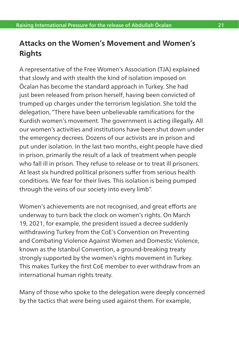# <span id="page-22-0"></span>**Attacks on the Women's Movement and Women's Rights**

A representative of the Free Women's Association (TJA) explained that slowly and with stealth the kind of isolation imposed on Öcalan has become the standard approach in Turkey. She had just been released from prison herself, having been convicted of trumped up charges under the terrorism legislation. She told the delegation, "There have been unbelievable ramifications for the Kurdish women's movement. The government is acting illegally. All our women's activities and institutions have been shut down under the emergency decrees. Dozens of our activists are in prison and put under isolation. In the last two months, eight people have died in prison, primarily the result of a lack of treatment when people who fall ill in prison. They refuse to release or to treat ill prisoners. At least six hundred political prisoners suffer from serious health conditions. We fear for their lives. This isolation is being pumped through the veins of our society into every limb".

Women's achievements are not recognised, and great efforts are underway to turn back the clock on women's rights. On March 19, 2021, for example, the president issued a decree suddenly withdrawing Turkey from the CoE's Convention on Preventing and Combating Violence Against Women and Domestic Violence, known as the Istanbul Convention, a ground-breaking treaty strongly supported by the women's rights movement in Turkey. This makes Turkey the first CoE member to ever withdraw from an international human rights treaty.

Many of those who spoke to the delegation were deeply concerned by the tactics that were being used against them. For example,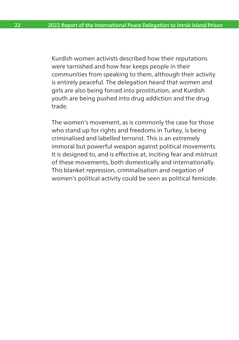Kurdish women activists described how their reputations were tarnished and how fear keeps people in their communities from speaking to them, although their activity is entirely peaceful. The delegation heard that women and girls are also being forced into prostitution, and Kurdish youth are being pushed into drug addiction and the drug trade.

The women's movement, as is commonly the case for those who stand up for rights and freedoms in Turkey, is being criminalised and labelled terrorist. This is an extremely immoral but powerful weapon against political movements. It is designed to, and is effective at, inciting fear and mistrust of these movements, both domestically and internationally. This blanket repression, criminalisation and negation of women's political activity could be seen as political femicide.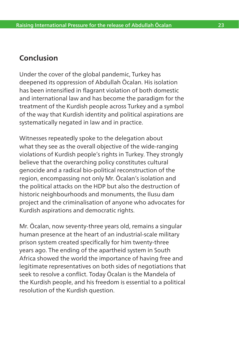## <span id="page-24-0"></span>**Conclusion**

Under the cover of the global pandemic, Turkey has deepened its oppression of Abdullah Öcalan. His isolation has been intensified in flagrant violation of both domestic and international law and has become the paradigm for the treatment of the Kurdish people across Turkey and a symbol of the way that Kurdish identity and political aspirations are systematically negated in law and in practice.

Witnesses repeatedly spoke to the delegation about what they see as the overall objective of the wide-ranging violations of Kurdish people's rights in Turkey. They strongly believe that the overarching policy constitutes cultural genocide and a radical bio-political reconstruction of the region, encompassing not only Mr. Öcalan's isolation and the political attacks on the HDP but also the destruction of historic neighbourhoods and monuments, the Ilusu dam project and the criminalisation of anyone who advocates for Kurdish aspirations and democratic rights.

Mr. Öcalan, now seventy-three years old, remains a singular human presence at the heart of an industrial-scale military prison system created specifically for him twenty-three years ago. The ending of the apartheid system in South Africa showed the world the importance of having free and legitimate representatives on both sides of negotiations that seek to resolve a conflict. Today Öcalan is the Mandela of the Kurdish people, and his freedom is essential to a political resolution of the Kurdish question.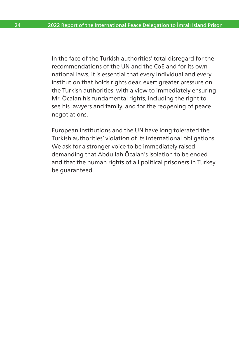In the face of the Turkish authorities' total disregard for the recommendations of the UN and the CoE and for its own national laws, it is essential that every individual and every institution that holds rights dear, exert greater pressure on the Turkish authorities, with a view to immediately ensuring Mr. Öcalan his fundamental rights, including the right to see his lawyers and family, and for the reopening of peace negotiations.

European institutions and the UN have long tolerated the Turkish authorities' violation of its international obligations. We ask for a stronger voice to be immediately raised demanding that Abdullah Öcalan's isolation to be ended and that the human rights of all political prisoners in Turkey be guaranteed.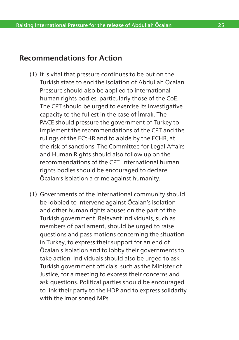# <span id="page-26-0"></span>**Recommendations for Action**

- (1) It is vital that pressure continues to be put on the Turkish state to end the isolation of Abdullah Öcalan. Pressure should also be applied to international human rights bodies, particularly those of the CoE. The CPT should be urged to exercise its investigative capacity to the fullest in the case of İmralı. The PACE should pressure the government of Turkey to implement the recommendations of the CPT and the rulings of the ECtHR and to abide by the ECHR, at the risk of sanctions. The Committee for Legal Affairs and Human Rights should also follow up on the recommendations of the CPT. International human rights bodies should be encouraged to declare Öcalan's isolation a crime against humanity.
- (1) Governments of the international community should be lobbied to intervene against Öcalan's isolation and other human rights abuses on the part of the Turkish government. Relevant individuals, such as members of parliament, should be urged to raise questions and pass motions concerning the situation in Turkey, to express their support for an end of Öcalan's isolation and to lobby their governments to take action. Individuals should also be urged to ask Turkish government officials, such as the Minister of Justice, for a meeting to express their concerns and ask questions. Political parties should be encouraged to link their party to the HDP and to express solidarity with the imprisoned MPs.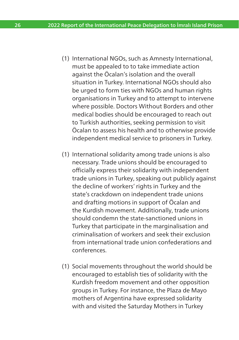- (1) International NGOs, such as Amnesty International, must be appealed to to take immediate action against the Öcalan's isolation and the overall situation in Turkey. International NGOs should also be urged to form ties with NGOs and human rights organisations in Turkey and to attempt to intervene where possible. Doctors Without Borders and other medical bodies should be encouraged to reach out to Turkish authorities, seeking permission to visit Öcalan to assess his health and to otherwise provide independent medical service to prisoners in Turkey.
- (1) International solidarity among trade unions is also necessary. Trade unions should be encouraged to officially express their solidarity with independent trade unions in Turkey, speaking out publicly against the decline of workers' rights in Turkey and the state's crackdown on independent trade unions and drafting motions in support of Öcalan and the Kurdish movement. Additionally, trade unions should condemn the state-sanctioned unions in Turkey that participate in the marginalisation and criminalisation of workers and seek their exclusion from international trade union confederations and conferences.
- (1) Social movements throughout the world should be encouraged to establish ties of solidarity with the Kurdish freedom movement and other opposition groups in Turkey. For instance, the Plaza de Mayo mothers of Argentina have expressed solidarity with and visited the Saturday Mothers in Turkey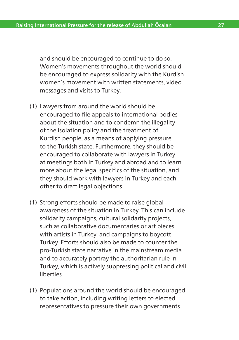and should be encouraged to continue to do so. Women's movements throughout the world should be encouraged to express solidarity with the Kurdish women's movement with written statements, video messages and visits to Turkey.

- (1) Lawyers from around the world should be encouraged to file appeals to international bodies about the situation and to condemn the illegality of the isolation policy and the treatment of Kurdish people, as a means of applying pressure to the Turkish state. Furthermore, they should be encouraged to collaborate with lawyers in Turkey at meetings both in Turkey and abroad and to learn more about the legal specifics of the situation, and they should work with lawyers in Turkey and each other to draft legal objections.
- (1) Strong efforts should be made to raise global awareness of the situation in Turkey. This can include solidarity campaigns, cultural solidarity projects, such as collaborative documentaries or art pieces with artists in Turkey, and campaigns to boycott Turkey. Efforts should also be made to counter the pro-Turkish state narrative in the mainstream media and to accurately portray the authoritarian rule in Turkey, which is actively suppressing political and civil liberties.
- (1) Populations around the world should be encouraged to take action, including writing letters to elected representatives to pressure their own governments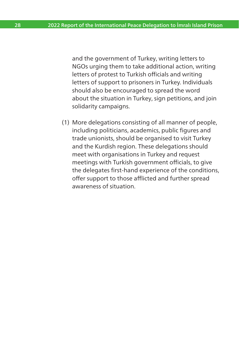and the government of Turkey, writing letters to NGOs urging them to take additional action, writing letters of protest to Turkish officials and writing letters of support to prisoners in Turkey. Individuals should also be encouraged to spread the word about the situation in Turkey, sign petitions, and join solidarity campaigns.

(1) More delegations consisting of all manner of people, including politicians, academics, public figures and trade unionists, should be organised to visit Turkey and the Kurdish region. These delegations should meet with organisations in Turkey and request meetings with Turkish government officials, to give the delegates first-hand experience of the conditions, offer support to those afflicted and further spread awareness of situation.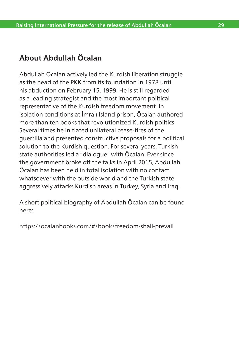# **About Abdullah Öcalan**

Abdullah Öcalan actively led the Kurdish liberation struggle as the head of the PKK from its foundation in 1978 until his abduction on February 15, 1999. He is still regarded as a leading strategist and the most important political representative of the Kurdish freedom movement. In isolation conditions at İmralı Island prison, Öcalan authored more than ten books that revolutionized Kurdish politics. Several times he initiated unilateral cease-fires of the guerrilla and presented constructive proposals for a political solution to the Kurdish question. For several years, Turkish state authorities led a "dialogue" with Öcalan. Ever since the government broke off the talks in April 2015, Abdullah Öcalan has been held in total isolation with no contact whatsoever with the outside world and the Turkish state aggressively attacks Kurdish areas in Turkey, Syria and Iraq.

A short political biography of Abdullah Öcalan can be found here:

https://ocalanbooks.com/#/book/freedom-shall-prevail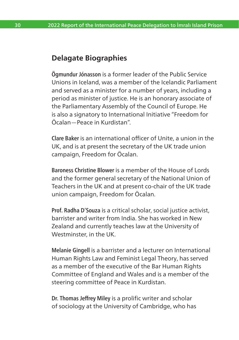### <span id="page-31-0"></span>**Delagate Biographies**

Ögmundur Jónasson is a former leader of the Public Service Unions in Iceland, was a member of the Icelandic Parliament and served as a minister for a number of years, including a period as minister of justice. He is an honorary associate of the Parliamentary Assembly of the Council of Europe. He is also a signatory to International Initiative "Freedom for Öcalan—Peace in Kurdistan".

Clare Baker is an international officer of Unite, a union in the UK, and is at present the secretary of the UK trade union campaign, Freedom for Öcalan.

Baroness Christine Blower is a member of the House of Lords and the former general secretary of the National Union of Teachers in the UK and at present co-chair of the UK trade union campaign, Freedom for Öcalan.

Prof. Radha D'Souza is a critical scholar, social justice activist, barrister and writer from India. She has worked in New Zealand and currently teaches law at the University of Westminster, in the UK.

Melanie Gingell is a barrister and a lecturer on International Human Rights Law and Feminist Legal Theory, has served as a member of the executive of the Bar Human Rights Committee of England and Wales and is a member of the steering committee of Peace in Kurdistan.

Dr. Thomas Jeffrey Miley is a prolific writer and scholar of sociology at the University of Cambridge, who has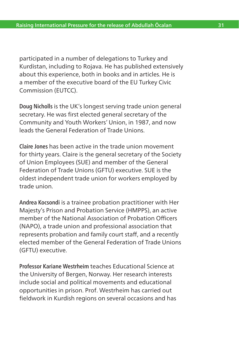<span id="page-32-0"></span>participated in a number of delegations to Turkey and Kurdistan, including to Rojava. He has published extensively about this experience, both in books and in articles. He is a member of the executive board of the EU Turkey Civic Commission (EUTCC).

Doug Nicholls is the UK's longest serving trade union general secretary. He was first elected general secretary of the Community and Youth Workers' Union, in 1987, and now leads the General Federation of Trade Unions.

Claire Jones has been active in the trade union movement for thirty years. Claire is the general secretary of the Society of Union Employees (SUE) and member of the General Federation of Trade Unions (GFTU) executive. SUE is the oldest independent trade union for workers employed by trade union.

Andrea Kocsondi is a trainee probation practitioner with Her Majesty's Prison and Probation Service (HMPPS), an active member of the National Association of Probation Officers (NAPO), a trade union and professional association that represents probation and family court staff, and a recently elected member of the General Federation of Trade Unions (GFTU) executive.

Professor Kariane Westrheim teaches Educational Science at the University of Bergen, Norway. Her research interests include social and political movements and educational opportunities in prison. Prof. Westrheim has carried out fieldwork in Kurdish regions on several occasions and has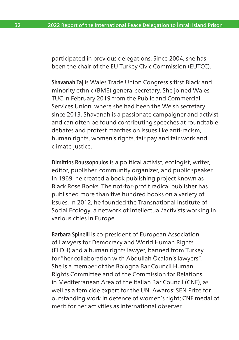participated in previous delegations. Since 2004, she has been the chair of the EU Turkey Civic Commission (EUTCC).

Shavanah Taj is Wales Trade Union Congress's first Black and minority ethnic (BME) general secretary. She joined Wales TUC in February 2019 from the Public and Commercial Services Union, where she had been the Welsh secretary since 2013. Shavanah is a passionate campaigner and activist and can often be found contributing speeches at roundtable debates and protest marches on issues like anti-racism, human rights, women's rights, fair pay and fair work and climate justice.

Dimitrios Roussopoulos is a political activist, ecologist, writer, editor, publisher, community organizer, and public speaker. In 1969, he created a book publishing project known as Black Rose Books. The not-for-profit radical publisher has published more than five hundred books on a variety of issues. In 2012, he founded the Transnational Institute of Social Ecology, a network of intellectual/activists working in various cities in Europe.

Barbara Spinelli is co-president of European Association of Lawyers for Democracy and World Human Rights (ELDH) and a human rights lawyer, banned from Turkey for "her collaboration with Abdullah Öcalan's lawyers". She is a member of the Bologna Bar Council Human Rights Committee and of the Commission for Relations in Mediterranean Area of the Italian Bar Council (CNF), as well as a femicide expert for the UN. Awards: SEN Prize for outstanding work in defence of women's right; CNF medal of merit for her activities as international observer.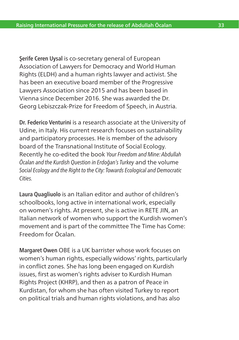Serife Ceren Uysal is co-secretary general of European Association of Lawyers for Democracy and World Human Rights (ELDH) and a human rights lawyer and activist. She has been an executive board member of the Progressive Lawyers Association since 2015 and has been based in Vienna since December 2016. She was awarded the Dr. Georg Lebiszczak-Prize for Freedom of Speech, in Austria.

Dr. Federico Venturini is a research associate at the University of Udine, in Italy. His current research focuses on sustainability and participatory processes. He is member of the advisory board of the Transnational Institute of Social Ecology. Recently he co-edited the book *Your Freedom and Mine: Abdullah Öcalan and the Kurdish Question in Erdoğan's Turkey* and the volume *Social Ecology and the Right to the City: Towards Ecological and Democratic Cities.*

Laura Quagliuolo is an Italian editor and author of children's schoolbooks, long active in international work, especially on women's rights. At present, she is active in RETE JIN, an Italian network of women who support the Kurdish women's movement and is part of the committee The Time has Come: Freedom for Öcalan.

Margaret Owen OBE is a UK barrister whose work focuses on women's human rights, especially widows' rights, particularly in conflict zones. She has long been engaged on Kurdish issues, first as women's rights adviser to Kurdish Human Rights Project (KHRP), and then as a patron of Peace in Kurdistan, for whom she has often visited Turkey to report on political trials and human rights violations, and has also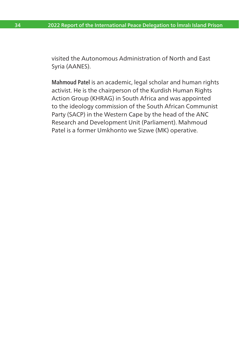visited the Autonomous Administration of North and East Syria (AANES).

Mahmoud Patel is an academic, legal scholar and human rights activist. He is the chairperson of the Kurdish Human Rights Action Group (KHRAG) in South Africa and was appointed to the ideology commission of the South African Communist Party (SACP) in the Western Cape by the head of the ANC Research and Development Unit (Parliament). Mahmoud Patel is a former Umkhonto we Sizwe (MK) operative.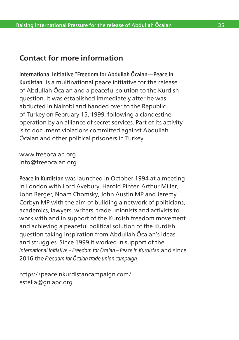## **Contact for more information**

International Initiative "Freedom for Abdullah Öcalan—Peace in Kurdistan" is a multinational peace initiative for the release of Abdullah Öcalan and a peaceful solution to the Kurdish question. It was established immediately after he was abducted in Nairobi and handed over to the Republic of Turkey on February 15, 1999, following a clandestine operation by an alliance of secret services. Part of its activity is to document violations committed against Abdullah Öcalan and other political prisoners in Turkey.

www.freeocalan.org info@freeocalan.org

Peace in Kurdistan was launched in October 1994 at a meeting in London with Lord Avebury, Harold Pinter, Arthur Miller, John Berger, Noam Chomsky, John Austin MP and Jeremy Corbyn MP with the aim of building a network of politicians, academics, lawyers, writers, trade unionists and activists to work with and in support of the Kurdish freedom movement and achieving a peaceful political solution of the Kurdish question taking inspiration from Abdullah Öcalan's ideas and struggles. Since 1999 it worked in support of the *International Initiative – Freedom for Öcalan – Peace in Kurdistan* and since 2016 the *Freedom for Öcalan trade union campaign*.

https://peaceinkurdistancampaign.com/ estella@gn.apc.org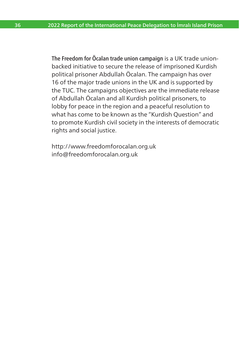<span id="page-37-0"></span>The Freedom for Öcalan trade union campaign is a UK trade unionbacked initiative to secure the release of imprisoned Kurdish political prisoner Abdullah Öcalan. The campaign has over 16 of the major trade unions in the UK and is supported by the TUC. The campaigns objectives are the immediate release of Abdullah Öcalan and all Kurdish political prisoners, to lobby for peace in the region and a peaceful resolution to what has come to be known as the "Kurdish Question" and to promote Kurdish civil society in the interests of democratic rights and social justice.

http://www.freedomforocalan.org.uk info@freedomforocalan.org.uk